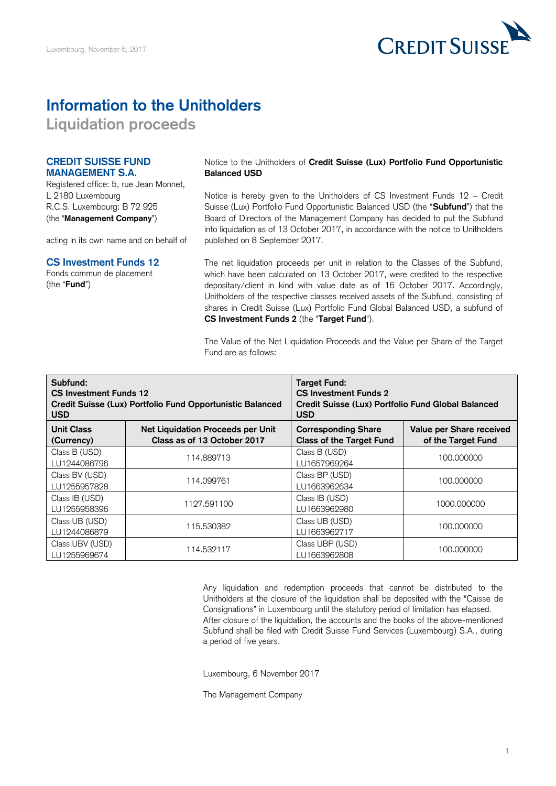

# **Information to the Unitholders**

**Liquidation proceeds** 

### **CREDIT SUISSE FUND MANAGEMENT S.A.**

Registered office: 5, rue Jean Monnet, L 2180 Luxembourg R.C.S. Luxembourg: B 72 925 (the "**Management Company**")

acting in its own name and on behalf of

#### **CS Investment Funds 12**

Fonds commun de placement (the "**Fund**")

 Notice to the Unitholders of **Credit Suisse (Lux) Portfolio Fund Opportunistic Balanced USD** 

 Notice is hereby given to the Unitholders of CS Investment Funds 12 – Credit Suisse (Lux) Portfolio Fund Opportunistic Balanced USD (the "**Subfund**") that the Board of Directors of the Management Company has decided to put the Subfund into liquidation as of 13 October 2017, in accordance with the notice to Unitholders published on 8 September 2017.

 The net liquidation proceeds per unit in relation to the Classes of the Subfund, which have been calculated on 13 October 2017, were credited to the respective depositary/client in kind with value date as of 16 October 2017. Accordingly, Unitholders of the respective classes received assets of the Subfund, consisting of shares in Credit Suisse (Lux) Portfolio Fund Global Balanced USD, a subfund of **CS Investment Funds 2** (the "**Target Fund**").

 The Value of the Net Liquidation Proceeds and the Value per Share of the Target Fund are as follows:

| Subfund:<br>CS Investment Funds 12<br>Credit Suisse (Lux) Portfolio Fund Opportunistic Balanced<br><b>USD</b> |                                                                         | <b>Target Fund:</b><br><b>CS Investment Funds 2</b><br>Credit Suisse (Lux) Portfolio Fund Global Balanced<br><b>USD</b> |                                                |
|---------------------------------------------------------------------------------------------------------------|-------------------------------------------------------------------------|-------------------------------------------------------------------------------------------------------------------------|------------------------------------------------|
| <b>Unit Class</b><br>(Currency)                                                                               | <b>Net Liquidation Proceeds per Unit</b><br>Class as of 13 October 2017 | <b>Corresponding Share</b><br><b>Class of the Target Fund</b>                                                           | Value per Share received<br>of the Target Fund |
| Class B (USD)<br>LU1244086796                                                                                 | 114.889713                                                              | Class B (USD)<br>LU1657969264                                                                                           | 100,000000                                     |
| Class BV (USD)<br>LU1255957828                                                                                | 114.099761                                                              | Class BP (USD)<br>LU1663962634                                                                                          | 100,000000                                     |
| Class IB (USD)<br>LU1255958396                                                                                | 1127.591100                                                             | Class IB (USD)<br>LU1663962980                                                                                          | 1000,000000                                    |
| Class UB (USD)<br>LU1244086879                                                                                | 115.530382                                                              | Class UB (USD)<br>LU1663962717                                                                                          | 100,000000                                     |
| Class UBV (USD)<br>LU1255969674                                                                               | 114.532117                                                              | Class UBP (USD)<br>LU1663962808                                                                                         | 100,000000                                     |

 Any liquidation and redemption proceeds that cannot be distributed to the Unitholders at the closure of the liquidation shall be deposited with the "Caisse de Consignations" in Luxembourg until the statutory period of limitation has elapsed. After closure of the liquidation, the accounts and the books of the above-mentioned Subfund shall be filed with Credit Suisse Fund Services (Luxembourg) S.A., during a period of five years.

Luxembourg, 6 November 2017

The Management Company